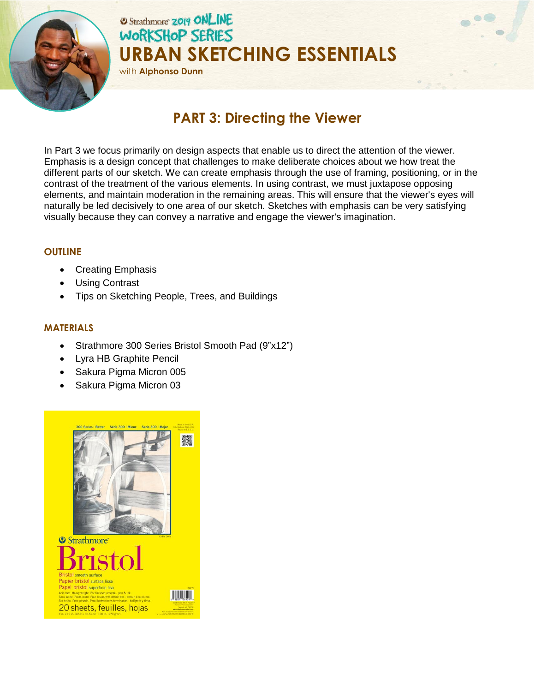

## **O Strathmore 2019 ONLINE** WORKSHOP SERIES **URBAN SKETCHING ESSENTIALS**

with **Alphonso Dunn**

# **PART 3: Directing the Viewer**

In Part 3 we focus primarily on design aspects that enable us to direct the attention of the viewer. Emphasis is a design concept that challenges to make deliberate choices about we how treat the different parts of our sketch. We can create emphasis through the use of framing, positioning, or in the contrast of the treatment of the various elements. In using contrast, we must juxtapose opposing elements, and maintain moderation in the remaining areas. This will ensure that the viewer's eyes will naturally be led decisively to one area of our sketch. Sketches with emphasis can be very satisfying visually because they can convey a narrative and engage the viewer's imagination.

#### **OUTLINE**

- Creating Emphasis
- Using Contrast
- Tips on Sketching People, Trees, and Buildings

#### **MATERIALS**

- Strathmore 300 Series Bristol Smooth Pad (9"x12")
- Lyra HB Graphite Pencil
- Sakura Pigma Micron 005
- Sakura Pigma Micron 03

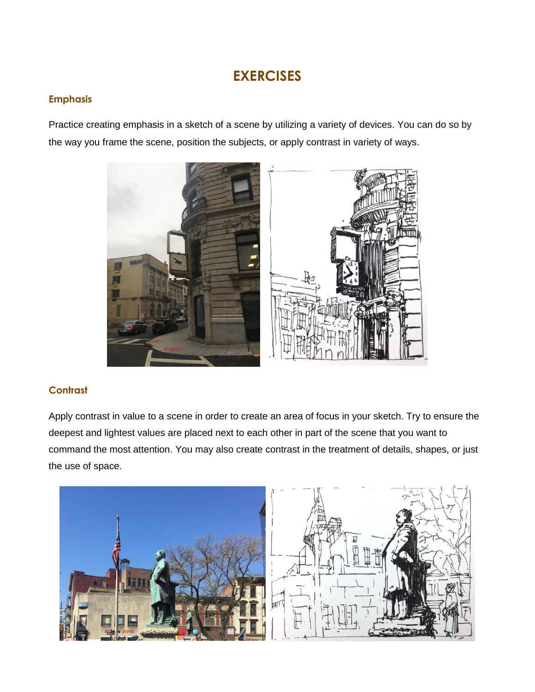### **EXERCISES**

#### **Emphasis**

Practice creating emphasis in a sketch of a scene by utilizing a variety of devices. You can do so by the way you frame the scene, position the subjects, or apply contrast in variety of ways.



#### **Contrast**

Apply contrast in value to a scene in order to create an area of focus in your sketch. Try to ensure the deepest and lightest values are placed next to each other in part of the scene that you want to command the most attention. You may also create contrast in the treatment of details, shapes, or just the use of space.

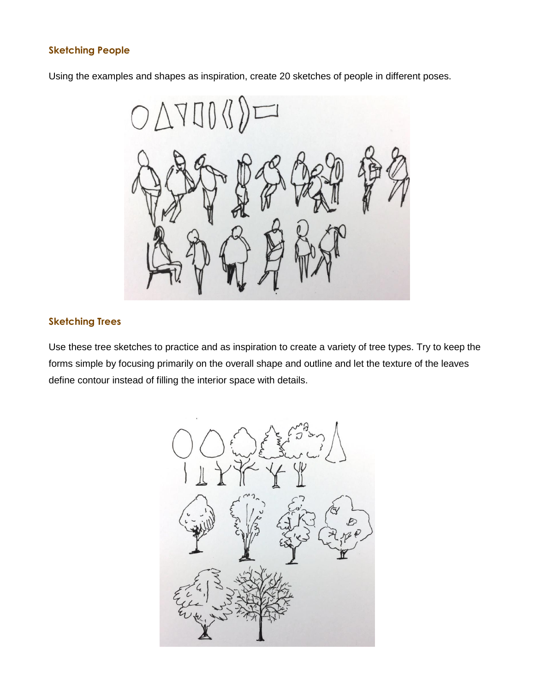#### **Sketching People**

Using the examples and shapes as inspiration, create 20 sketches of people in different poses.



#### **Sketching Trees**

Use these tree sketches to practice and as inspiration to create a variety of tree types. Try to keep the forms simple by focusing primarily on the overall shape and outline and let the texture of the leaves define contour instead of filling the interior space with details.